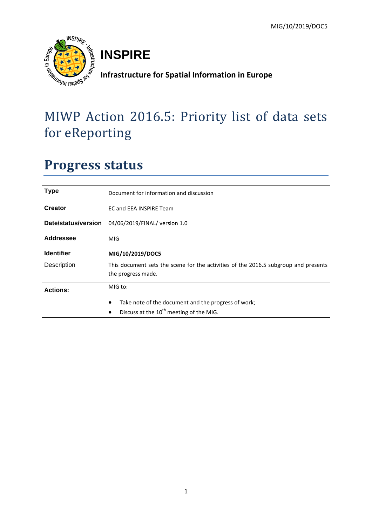

# **INSPIRE**

**Infrastructure for Spatial Information in Europe**

# MIWP Action 2016.5: Priority list of data sets for eReporting

# **Progress status**

| <b>Type</b>         | Document for information and discussion                                                                   |  |  |  |  |
|---------------------|-----------------------------------------------------------------------------------------------------------|--|--|--|--|
| Creator             | EC and EEA INSPIRE Team                                                                                   |  |  |  |  |
| Date/status/version | 04/06/2019/FINAL/ version 1.0                                                                             |  |  |  |  |
| Addressee           | MIG                                                                                                       |  |  |  |  |
| <b>Identifier</b>   | MIG/10/2019/DOC5                                                                                          |  |  |  |  |
| Description         | This document sets the scene for the activities of the 2016.5 subgroup and presents<br>the progress made. |  |  |  |  |
| <b>Actions:</b>     | MIG to:                                                                                                   |  |  |  |  |
|                     | Take note of the document and the progress of work;<br>٠                                                  |  |  |  |  |
|                     | Discuss at the 10 <sup>th</sup> meeting of the MIG.<br>$\bullet$                                          |  |  |  |  |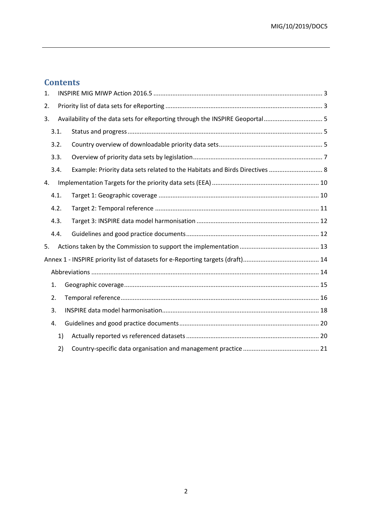## **Contents**

| 1. |      |    |                                                                              |
|----|------|----|------------------------------------------------------------------------------|
| 2. |      |    |                                                                              |
| 3. |      |    | Availability of the data sets for eReporting through the INSPIRE Geoportal 5 |
|    | 3.1. |    |                                                                              |
|    | 3.2. |    |                                                                              |
|    | 3.3. |    |                                                                              |
|    | 3.4. |    | Example: Priority data sets related to the Habitats and Birds Directives  8  |
| 4. |      |    |                                                                              |
|    | 4.1. |    |                                                                              |
|    | 4.2. |    |                                                                              |
|    | 4.3. |    |                                                                              |
|    | 4.4. |    |                                                                              |
| 5. |      |    |                                                                              |
|    |      |    |                                                                              |
|    |      |    |                                                                              |
|    | 1.   |    |                                                                              |
|    | 2.   |    |                                                                              |
|    | 3.   |    |                                                                              |
|    | 4.   |    |                                                                              |
|    |      | 1) |                                                                              |
|    |      | 2) |                                                                              |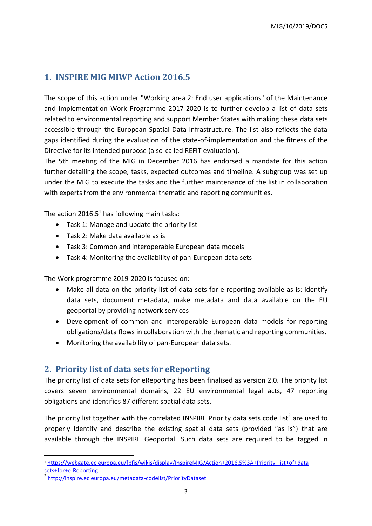## <span id="page-2-0"></span>**1. INSPIRE MIG MIWP Action 2016.5**

The scope of this action under "Working area 2: End user applications" of the Maintenance and Implementation Work Programme 2017-2020 is to further develop a list of data sets related to environmental reporting and support Member States with making these data sets accessible through the European Spatial Data Infrastructure. The list also reflects the data gaps identified during the evaluation of the state-of-implementation and the fitness of the Directive for its intended purpose (a so-called REFIT evaluation).

The 5th meeting of the MIG in December 2016 has endorsed a mandate for this action further detailing the scope, tasks, expected outcomes and timeline. A subgroup was set up under the MIG to execute the tasks and the further maintenance of the list in collaboration with experts from the environmental thematic and reporting communities.

The action 2016.5<sup>1</sup> has following main tasks:

- Task 1: Manage and update the priority list
- Task 2: Make data available as is
- Task 3: Common and interoperable European data models
- Task 4: Monitoring the availability of pan-European data sets

The Work programme 2019-2020 is focused on:

- Make all data on the priority list of data sets for e-reporting available as-is: identify data sets, document metadata, make metadata and data available on the EU geoportal by providing network services
- Development of common and interoperable European data models for reporting obligations/data flows in collaboration with the thematic and reporting communities.
- Monitoring the availability of pan-European data sets.

### <span id="page-2-1"></span>**2. Priority list of data sets for eReporting**

The priority list of data sets for eReporting has been finalised as version 2.0. The priority list covers seven environmental domains, 22 EU environmental legal acts, 47 reporting obligations and identifies 87 different spatial data sets.

The priority list together with the correlated INSPIRE Priority data sets code list<sup>2</sup> are used to properly identify and describe the existing spatial data sets (provided "as is") that are available through the INSPIRE Geoportal. Such data sets are required to be tagged in

**.** 

<sup>1</sup> [https://webgate.ec.europa.eu/fpfis/wikis/display/InspireMIG/Action+2016.5%3A+Priority+list+of+data](https://webgate.ec.europa.eu/fpfis/wikis/display/InspireMIG/Action+2016.5%3A+Priority+list+of+datasets+for+e-Reporting)  [sets+for+e-Reporting](https://webgate.ec.europa.eu/fpfis/wikis/display/InspireMIG/Action+2016.5%3A+Priority+list+of+datasets+for+e-Reporting)

<sup>2</sup> <http://inspire.ec.europa.eu/metadata-codelist/PriorityDataset>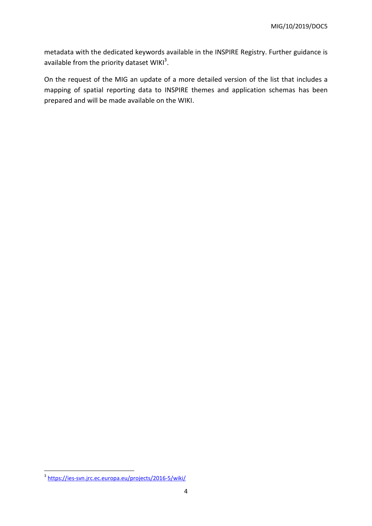metadata with the dedicated keywords available in the INSPIRE Registry. Further guidance is available from the priority dataset WIKI<sup>3</sup>.

On the request of the MIG an update of a more detailed version of the list that includes a mapping of spatial reporting data to INSPIRE themes and application schemas has been prepared and will be made available on the WIKI.

a<br>3 <https://ies-svn.jrc.ec.europa.eu/projects/2016-5/wiki/>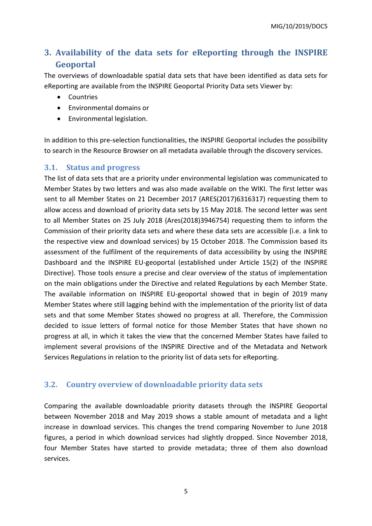## <span id="page-4-0"></span>**3. Availability of the data sets for eReporting through the INSPIRE Geoportal**

The overviews of downloadable spatial data sets that have been identified as data sets for eReporting are available from the INSPIRE Geoportal Priority Data sets Viewer by:

- **Countries**
- Environmental domains or
- Environmental legislation.

In addition to this pre-selection functionalities, the INSPIRE Geoportal includes the possibility to search in the Resource Browser on all metadata available through the discovery services.

#### <span id="page-4-1"></span>**3.1. Status and progress**

The list of data sets that are a priority under environmental legislation was communicated to Member States by two letters and was also made available on the WIKI. The first letter was sent to all Member States on 21 December 2017 (ARES(2017)6316317) requesting them to allow access and download of priority data sets by 15 May 2018. The second letter was sent to all Member States on 25 July 2018 (Ares(2018)3946754) requesting them to inform the Commission of their priority data sets and where these data sets are accessible (i.e. a link to the respective view and download services) by 15 October 2018. The Commission based its assessment of the fulfilment of the requirements of data accessibility by using the INSPIRE Dashboard and the INSPIRE EU-geoportal (established under Article 15(2) of the INSPIRE Directive). Those tools ensure a precise and clear overview of the status of implementation on the main obligations under the Directive and related Regulations by each Member State. The available information on INSPIRE EU-geoportal showed that in begin of 2019 many Member States where still lagging behind with the implementation of the priority list of data sets and that some Member States showed no progress at all. Therefore, the Commission decided to issue letters of formal notice for those Member States that have shown no progress at all, in which it takes the view that the concerned Member States have failed to implement several provisions of the INSPIRE Directive and of the Metadata and Network Services Regulations in relation to the priority list of data sets for eReporting.

### <span id="page-4-2"></span>**3.2. Country overview of downloadable priority data sets**

Comparing the available downloadable priority datasets through the INSPIRE Geoportal between November 2018 and May 2019 shows a stable amount of metadata and a light increase in download services. This changes the trend comparing November to June 2018 figures, a period in which download services had slightly dropped. Since November 2018, four Member States have started to provide metadata; three of them also download services.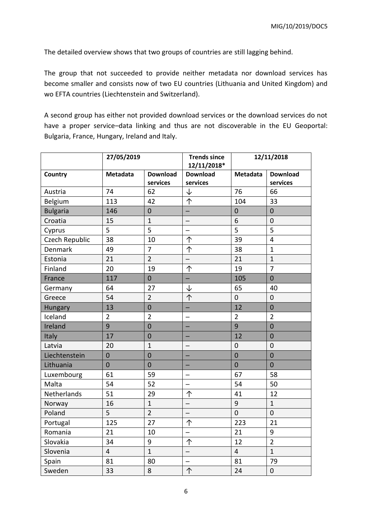The detailed overview shows that two groups of countries are still lagging behind.

The group that not succeeded to provide neither metadata nor download services has become smaller and consists now of two EU countries (Lithuania and United Kingdom) and wo EFTA countries (Liechtenstein and Switzerland).

A second group has either not provided download services or the download services do not have a proper service–data linking and thus are not discoverable in the EU Geoportal: Bulgaria, France, Hungary, Ireland and Italy.

|                 | 27/05/2019              |                             | <b>Trends since</b><br>12/11/2018* | 12/11/2018       |                             |
|-----------------|-------------------------|-----------------------------|------------------------------------|------------------|-----------------------------|
| Country         | Metadata                | <b>Download</b><br>services | <b>Download</b><br>services        | Metadata         | <b>Download</b><br>services |
| Austria         | 74                      | 62                          | ↓                                  | 76               | 66                          |
| Belgium         | 113                     | 42                          | 个                                  | 104              | 33                          |
| <b>Bulgaria</b> | 146                     | $\overline{0}$              |                                    | $\overline{0}$   | $\overline{0}$              |
| Croatia         | 15                      | $\mathbf{1}$                |                                    | 6                | $\mathbf 0$                 |
| Cyprus          | 5                       | 5                           |                                    | 5                | 5                           |
| Czech Republic  | 38                      | 10                          | 个                                  | 39               | $\overline{4}$              |
| Denmark         | 49                      | $\overline{7}$              | 个                                  | 38               | $\mathbf{1}$                |
| Estonia         | 21                      | $\overline{2}$              |                                    | 21               | $\mathbf{1}$                |
| Finland         | 20                      | 19                          | 个                                  | 19               | $\overline{7}$              |
| France          | 117                     | $\overline{0}$              |                                    | 105              | $\mathbf 0$                 |
| Germany         | 64                      | 27                          | ↓                                  | 65               | 40                          |
| Greece          | 54                      | $\overline{2}$              | 个                                  | $\mathbf 0$      | $\mathbf 0$                 |
| Hungary         | 13                      | $\overline{0}$              |                                    | 12               | $\overline{0}$              |
| Iceland         | $\overline{2}$          | $\overline{2}$              |                                    | $\overline{2}$   | $\overline{2}$              |
| Ireland         | 9                       | $\overline{0}$              | -                                  | 9                | $\overline{0}$              |
| Italy           | 17                      | $\overline{0}$              |                                    | 12               | $\overline{0}$              |
| Latvia          | 20                      | $\mathbf{1}$                |                                    | $\overline{0}$   | $\overline{0}$              |
| Liechtenstein   | $\mathbf 0$             | $\mathbf 0$                 |                                    | $\overline{0}$   | $\overline{0}$              |
| Lithuania       | $\overline{0}$          | $\overline{0}$              | —                                  | $\overline{0}$   | $\mathbf 0$                 |
| Luxembourg      | 61                      | 59                          | ÷                                  | 67               | 58                          |
| Malta           | 54                      | 52                          |                                    | 54               | 50                          |
| Netherlands     | 51                      | 29                          | 个                                  | 41               | 12                          |
| Norway          | 16                      | $\mathbf{1}$                | $\overline{\phantom{0}}$           | $\boldsymbol{9}$ | $\mathbf{1}$                |
| Poland          | 5                       | $\overline{2}$              | —                                  | $\overline{0}$   | $\mathbf 0$                 |
| Portugal        | 125                     | 27                          | 个                                  | 223              | 21                          |
| Romania         | 21                      | 10                          |                                    | 21               | 9                           |
| Slovakia        | 34                      | 9                           | 个                                  | 12               | $\overline{2}$              |
| Slovenia        | $\overline{\mathbf{4}}$ | $\mathbf{1}$                |                                    | $\overline{4}$   | $\mathbf{1}$                |
| Spain           | 81                      | 80                          |                                    | 81               | 79                          |
| Sweden          | 33                      | 8                           | 个                                  | 24               | $\boldsymbol{0}$            |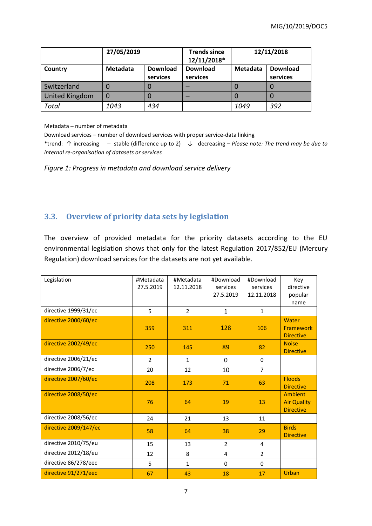|                       | 27/05/2019 |                             | <b>Trends since</b><br>12/11/2018* |          | 12/11/2018                  |  |
|-----------------------|------------|-----------------------------|------------------------------------|----------|-----------------------------|--|
| Country               | Metadata   | <b>Download</b><br>services | <b>Download</b><br>services        | Metadata | <b>Download</b><br>services |  |
| Switzerland           |            |                             |                                    |          | 0                           |  |
| <b>United Kingdom</b> | 0          |                             |                                    |          | O                           |  |
| <b>Total</b>          | 1043       | 434                         |                                    | 1049     | 392                         |  |

Metadata – number of metadata

Download services – number of download services with proper service-data linking

\*trend: ↑ increasing ─ stable (difference up to 2) ↓ decreasing – *Please note: The trend may be due to internal re-organisation of datasets or services*

*Figure 1: Progress in metadata and download service delivery*

## <span id="page-6-0"></span>**3.3. Overview of priority data sets by legislation**

The overview of provided metadata for the priority datasets according to the EU environmental legislation shows that only for the latest Regulation 2017/852/EU (Mercury Regulation) download services for the datasets are not yet available.

| Legislation           | #Metadata<br>27.5.2019 | #Metadata<br>12.11.2018 | #Download<br>services<br>27.5.2019 | #Download<br>services<br>12.11.2018 | Key<br>directive<br>popular<br>name                      |
|-----------------------|------------------------|-------------------------|------------------------------------|-------------------------------------|----------------------------------------------------------|
| directive 1999/31/ec  | 5                      | $\overline{2}$          | $\mathbf{1}$                       | $\mathbf{1}$                        |                                                          |
| directive 2000/60/ec  | 359                    | 311                     | 128                                | 106                                 | Water<br>Framework<br><b>Directive</b>                   |
| directive 2002/49/ec  | 250                    | 145                     | 89                                 | 82                                  | <b>Noise</b><br><b>Directive</b>                         |
| directive 2006/21/ec  | $\overline{2}$         | $\mathbf{1}$            | 0                                  | $\Omega$                            |                                                          |
| directive 2006/7/ec   | 20                     | 12                      | 10                                 | 7                                   |                                                          |
| directive 2007/60/ec  | 208                    | 173                     | 71                                 | 63                                  | <b>Floods</b><br><b>Directive</b>                        |
| directive 2008/50/ec  | 76                     | 64                      | 19                                 | 13                                  | <b>Ambient</b><br><b>Air Quality</b><br><b>Directive</b> |
| directive 2008/56/ec  | 24                     | 21                      | 13                                 | 11                                  |                                                          |
| directive 2009/147/ec | 58                     | 64                      | 38                                 | 29                                  | <b>Birds</b><br><b>Directive</b>                         |
| directive 2010/75/eu  | 15                     | 13                      | $\overline{2}$                     | 4                                   |                                                          |
| directive 2012/18/eu  | 12                     | 8                       | 4                                  | $\overline{2}$                      |                                                          |
| directive 86/278/eec  | 5                      | $\mathbf{1}$            | 0                                  | $\mathbf 0$                         |                                                          |
| directive 91/271/eec  | 67                     | 43                      | 18                                 | 17                                  | Urban                                                    |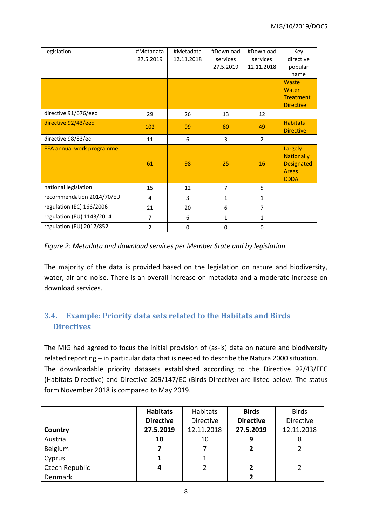| Legislation               | #Metadata<br>27.5.2019 | #Metadata<br>12.11.2018 | #Download<br>services | #Download<br>services | Key<br>directive                                                                 |
|---------------------------|------------------------|-------------------------|-----------------------|-----------------------|----------------------------------------------------------------------------------|
|                           |                        |                         | 27.5.2019             | 12.11.2018            | popular<br>name                                                                  |
|                           |                        |                         |                       |                       | Waste<br>Water<br><b>Treatment</b><br><b>Directive</b>                           |
| directive 91/676/eec      | 29                     | 26                      | 13                    | 12                    |                                                                                  |
| directive 92/43/eec       | 102                    | 99                      | 60                    | 49                    | <b>Habitats</b><br><b>Directive</b>                                              |
| directive 98/83/ec        | 11                     | 6                       | 3                     | $\overline{2}$        |                                                                                  |
| EEA annual work programme | 61                     | 98                      | 25                    | 16                    | Largely<br><b>Nationally</b><br><b>Designated</b><br><b>Areas</b><br><b>CDDA</b> |
| national legislation      | 15                     | 12                      | $\overline{7}$        | 5                     |                                                                                  |
| recommendation 2014/70/EU | 4                      | 3                       | $\mathbf{1}$          | $\mathbf{1}$          |                                                                                  |
| regulation (EC) 166/2006  | 21                     | 20                      | 6                     | $\overline{7}$        |                                                                                  |
| regulation (EU) 1143/2014 | $\overline{7}$         | 6                       | $\mathbf{1}$          | $\mathbf{1}$          |                                                                                  |
| regulation (EU) 2017/852  | $\overline{2}$         | 0                       | 0                     | $\mathbf 0$           |                                                                                  |

#### *Figure 2: Metadata and download services per Member State and by legislation*

The majority of the data is provided based on the legislation on nature and biodiversity, water, air and noise. There is an overall increase on metadata and a moderate increase on download services.

## <span id="page-7-0"></span>**3.4. Example: Priority data sets related to the Habitats and Birds Directives**

The MIG had agreed to focus the initial provision of (as-is) data on nature and biodiversity related reporting – in particular data that is needed to describe the Natura 2000 situation. The downloadable priority datasets established according to the Directive 92/43/EEC (Habitats Directive) and Directive 209/147/EC (Birds Directive) are listed below. The status form November 2018 is compared to May 2019.

|                | <b>Habitats</b>  | Habitats         | <b>Birds</b>     | <b>Birds</b>     |
|----------------|------------------|------------------|------------------|------------------|
|                | <b>Directive</b> | <b>Directive</b> | <b>Directive</b> | <b>Directive</b> |
| Country        | 27.5.2019        | 12.11.2018       | 27.5.2019        | 12.11.2018       |
| Austria        | 10               | 10               | 9                | ŏ                |
| Belgium        |                  |                  |                  |                  |
| Cyprus         |                  |                  |                  |                  |
| Czech Republic |                  |                  | 2                |                  |
| Denmark        |                  |                  |                  |                  |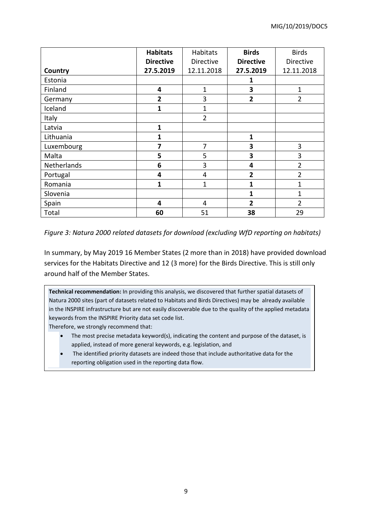|             | <b>Habitats</b>         | Habitats       | <b>Birds</b>     | <b>Birds</b>   |
|-------------|-------------------------|----------------|------------------|----------------|
|             | <b>Directive</b>        | Directive      | <b>Directive</b> | Directive      |
| Country     | 27.5.2019               | 12.11.2018     | 27.5.2019        | 12.11.2018     |
| Estonia     |                         |                | 1                |                |
| Finland     | 4                       | $\overline{1}$ | 3                | 1              |
| Germany     | $\overline{\mathbf{2}}$ | 3              | $\overline{2}$   | $\overline{2}$ |
| Iceland     | 1                       | 1              |                  |                |
| Italy       |                         | $\overline{2}$ |                  |                |
| Latvia      | 1                       |                |                  |                |
| Lithuania   | 1                       |                | 1                |                |
| Luxembourg  | 7                       | 7              | 3                | 3              |
| Malta       | 5                       | 5              | 3                | 3              |
| Netherlands | 6                       | 3              | 4                | $\overline{2}$ |
| Portugal    | $\overline{\mathbf{4}}$ | 4              | $\overline{2}$   | $\overline{2}$ |
| Romania     | $\mathbf{1}$            | 1              | 1                | 1              |
| Slovenia    |                         |                | 1                | 1              |
| Spain       | 4                       | 4              | $\overline{2}$   | $\overline{2}$ |
| Total       | 60                      | 51             | 38               | 29             |

*Figure 3: Natura 2000 related datasets for download (excluding WfD reporting on habitats)*

In summary, by May 2019 16 Member States (2 more than in 2018) have provided download services for the Habitats Directive and 12 (3 more) for the Birds Directive. This is still only around half of the Member States.

**Technical recommendation:** In providing this analysis, we discovered that further spatial datasets of Natura 2000 sites (part of datasets related to Habitats and Birds Directives) may be already available in the INSPIRE infrastructure but are not easily discoverable due to the quality of the applied metadata keywords from the INSPIRE Priority data set code list.

Therefore, we strongly recommend that:

- The most precise metadata keyword(s), indicating the content and purpose of the dataset, is applied, instead of more general keywords, e.g. legislation, and
- The identified priority datasets are indeed those that include authoritative data for the reporting obligation used in the reporting data flow.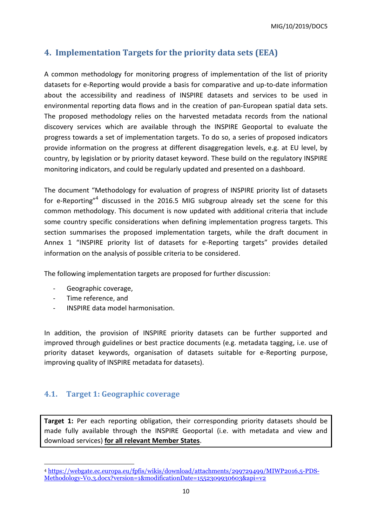MIG/10/2019/DOC5

## <span id="page-9-0"></span>**4. Implementation Targets for the priority data sets (EEA)**

A common methodology for monitoring progress of implementation of the list of priority datasets for e-Reporting would provide a basis for comparative and up-to-date information about the accessibility and readiness of INSPIRE datasets and services to be used in environmental reporting data flows and in the creation of pan-European spatial data sets. The proposed methodology relies on the harvested metadata records from the national discovery services which are available through the INSPIRE Geoportal to evaluate the progress towards a set of implementation targets. To do so, a series of proposed indicators provide information on the progress at different disaggregation levels, e.g. at EU level, by country, by legislation or by priority dataset keyword. These build on the regulatory INSPIRE monitoring indicators, and could be regularly updated and presented on a dashboard.

The document "Methodology for evaluation of progress of INSPIRE priority list of datasets for e-Reporting"<sup>4</sup> discussed in the 2016.5 MIG subgroup already set the scene for this common methodology. This document is now updated with additional criteria that include some country specific considerations when defining implementation progress targets. This section summarises the proposed implementation targets, while the draft document in Annex 1 "INSPIRE priority list of datasets for e-Reporting targets" provides detailed information on the analysis of possible criteria to be considered.

The following implementation targets are proposed for further discussion:

- Geographic coverage,
- Time reference, and

**.** 

- INSPIRE data model harmonisation.

In addition, the provision of INSPIRE priority datasets can be further supported and improved through guidelines or best practice documents (e.g. metadata tagging, i.e. use of priority dataset keywords, organisation of datasets suitable for e-Reporting purpose, improving quality of INSPIRE metadata for datasets).

### <span id="page-9-1"></span>**4.1. Target 1: Geographic coverage**

**Target 1:** Per each reporting obligation, their corresponding priority datasets should be made fully available through the INSPIRE Geoportal (i.e. with metadata and view and download services) **for all relevant Member States**.

<sup>4</sup> [https://webgate.ec.europa.eu/fpfis/wikis/download/attachments/299729499/MIWP2016.5-PDS-](https://webgate.ec.europa.eu/fpfis/wikis/download/attachments/299729499/MIWP2016.5-PDS-Methodology-V0.3.docx?version=1&modificationDate=1552309930603&api=v2)[Methodology-V0.3.docx?version=1&modificationDate=1552309930603&api=v2](https://webgate.ec.europa.eu/fpfis/wikis/download/attachments/299729499/MIWP2016.5-PDS-Methodology-V0.3.docx?version=1&modificationDate=1552309930603&api=v2)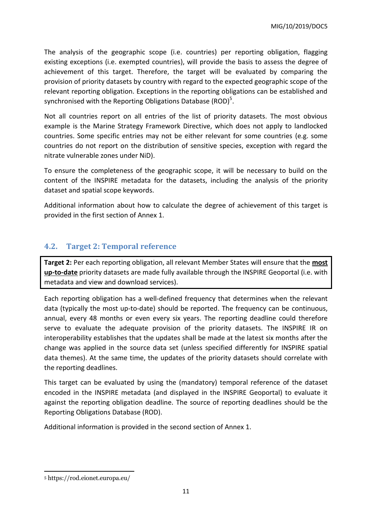MIG/10/2019/DOC5

The analysis of the geographic scope (i.e. countries) per reporting obligation, flagging existing exceptions (i.e. exempted countries), will provide the basis to assess the degree of achievement of this target. Therefore, the target will be evaluated by comparing the provision of priority datasets by country with regard to the expected geographic scope of the relevant reporting obligation. Exceptions in the reporting obligations can be established and synchronised with the Reporting Obligations Database (ROD)<sup>5</sup>.

Not all countries report on all entries of the list of priority datasets. The most obvious example is the Marine Strategy Framework Directive, which does not apply to landlocked countries. Some specific entries may not be either relevant for some countries (e.g. some countries do not report on the distribution of sensitive species, exception with regard the nitrate vulnerable zones under NiD).

To ensure the completeness of the geographic scope, it will be necessary to build on the content of the INSPIRE metadata for the datasets, including the analysis of the priority dataset and spatial scope keywords.

Additional information about how to calculate the degree of achievement of this target is provided in the first section of Annex 1.

## <span id="page-10-0"></span>**4.2. Target 2: Temporal reference**

**Target 2:** Per each reporting obligation, all relevant Member States will ensure that the **most up-to-date** priority datasets are made fully available through the INSPIRE Geoportal (i.e. with metadata and view and download services).

Each reporting obligation has a well-defined frequency that determines when the relevant data (typically the most up-to-date) should be reported. The frequency can be continuous, annual, every 48 months or even every six years. The reporting deadline could therefore serve to evaluate the adequate provision of the priority datasets. The INSPIRE IR on interoperability establishes that the updates shall be made at the latest six months after the change was applied in the source data set (unless specified differently for INSPIRE spatial data themes). At the same time, the updates of the priority datasets should correlate with the reporting deadlines.

This target can be evaluated by using the (mandatory) temporal reference of the dataset encoded in the INSPIRE metadata (and displayed in the INSPIRE Geoportal) to evaluate it against the reporting obligation deadline. The source of reporting deadlines should be the Reporting Obligations Database (ROD).

Additional information is provided in the second section of Annex 1.

<sup>1</sup> <sup>5</sup> https://rod.eionet.europa.eu/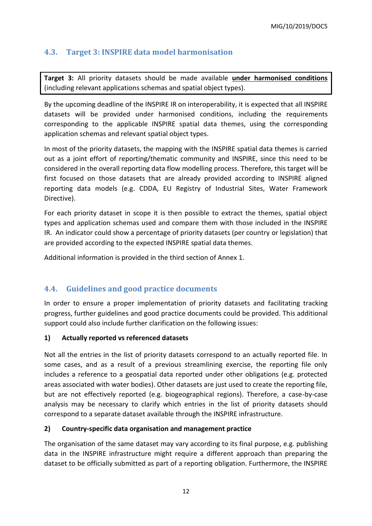## <span id="page-11-0"></span>**4.3. Target 3: INSPIRE data model harmonisation**

**Target 3:** All priority datasets should be made available **under harmonised conditions** (including relevant applications schemas and spatial object types).

By the upcoming deadline of the INSPIRE IR on interoperability, it is expected that all INSPIRE datasets will be provided under harmonised conditions, including the requirements corresponding to the applicable INSPIRE spatial data themes, using the corresponding application schemas and relevant spatial object types.

In most of the priority datasets, the mapping with the INSPIRE spatial data themes is carried out as a joint effort of reporting/thematic community and INSPIRE, since this need to be considered in the overall reporting data flow modelling process. Therefore, this target will be first focused on those datasets that are already provided according to INSPIRE aligned reporting data models (e.g. CDDA, EU Registry of Industrial Sites, Water Framework Directive).

For each priority dataset in scope it is then possible to extract the themes, spatial object types and application schemas used and compare them with those included in the INSPIRE IR. An indicator could show a percentage of priority datasets (per country or legislation) that are provided according to the expected INSPIRE spatial data themes.

Additional information is provided in the third section of Annex 1.

## <span id="page-11-1"></span>**4.4. Guidelines and good practice documents**

In order to ensure a proper implementation of priority datasets and facilitating tracking progress, further guidelines and good practice documents could be provided. This additional support could also include further clarification on the following issues:

#### **1) Actually reported vs referenced datasets**

Not all the entries in the list of priority datasets correspond to an actually reported file. In some cases, and as a result of a previous streamlining exercise, the reporting file only includes a reference to a geospatial data reported under other obligations (e.g. protected areas associated with water bodies). Other datasets are just used to create the reporting file, but are not effectively reported (e.g. biogeographical regions). Therefore, a case-by-case analysis may be necessary to clarify which entries in the list of priority datasets should correspond to a separate dataset available through the INSPIRE infrastructure.

#### **2) Country-specific data organisation and management practice**

The organisation of the same dataset may vary according to its final purpose, e.g. publishing data in the INSPIRE infrastructure might require a different approach than preparing the dataset to be officially submitted as part of a reporting obligation. Furthermore, the INSPIRE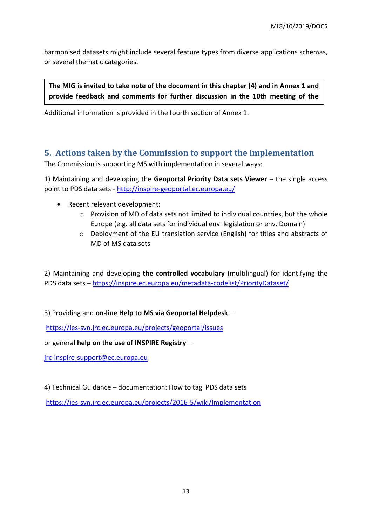harmonised datasets might include several feature types from diverse applications schemas, or several thematic categories.

**The MIG is invited to take note of the document in this chapter (4) and in Annex 1 and provide feedback and comments for further discussion in the 10th meeting of the** 

Additional information is provided in the fourth section of Annex 1. **MIG.** 

## <span id="page-12-0"></span>**5. Actions taken by the Commission to support the implementation**

The Commission is supporting MS with implementation in several ways:

1) Maintaining and developing the **Geoportal Priority Data sets Viewer** – the single access point to PDS data sets - <http://inspire-geoportal.ec.europa.eu/>

- Recent relevant development:
	- $\circ$  Provision of MD of data sets not limited to individual countries, but the whole Europe (e.g. all data sets for individual env. legislation or env. Domain)
	- o Deployment of the EU translation service (English) for titles and abstracts of MD of MS data sets

2) Maintaining and developing **the controlled vocabulary** (multilingual) for identifying the PDS data sets – <https://inspire.ec.europa.eu/metadata-codelist/PriorityDataset/>

3) Providing and **on-line Help to MS via Geoportal Helpdesk** –

<https://ies-svn.jrc.ec.europa.eu/projects/geoportal/issues>

or general **help on the use of INSPIRE Registry** –

[jrc-inspire-support@ec.europa.eu](mailto:jrc-inspire-support@ec.europa.eu)

4) Technical Guidance – documentation: How to tag PDS data sets

<https://ies-svn.jrc.ec.europa.eu/projects/2016-5/wiki/Implementation>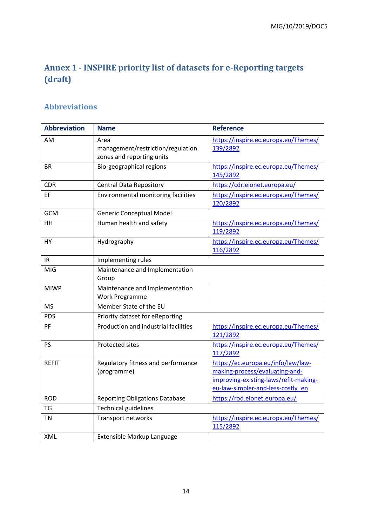## <span id="page-13-0"></span>**Annex 1 - INSPIRE priority list of datasets for e-Reporting targets (draft)**

## <span id="page-13-1"></span>**Abbreviations**

| <b>Abbreviation</b> | <b>Name</b>                                                            | <b>Reference</b>                                                                                                                                   |
|---------------------|------------------------------------------------------------------------|----------------------------------------------------------------------------------------------------------------------------------------------------|
| AM                  | Area<br>management/restriction/regulation<br>zones and reporting units | https://inspire.ec.europa.eu/Themes/<br>139/2892                                                                                                   |
| BR                  | Bio-geographical regions                                               | https://inspire.ec.europa.eu/Themes/<br>145/2892                                                                                                   |
| <b>CDR</b>          | <b>Central Data Repository</b>                                         | https://cdr.eionet.europa.eu/                                                                                                                      |
| EF                  | Environmental monitoring facilities                                    | https://inspire.ec.europa.eu/Themes/<br>120/2892                                                                                                   |
| <b>GCM</b>          | Generic Conceptual Model                                               |                                                                                                                                                    |
| HH                  | Human health and safety                                                | https://inspire.ec.europa.eu/Themes/<br>119/2892                                                                                                   |
| HY                  | Hydrography                                                            | https://inspire.ec.europa.eu/Themes/<br>116/2892                                                                                                   |
| IR                  | Implementing rules                                                     |                                                                                                                                                    |
| MIG                 | Maintenance and Implementation<br>Group                                |                                                                                                                                                    |
| <b>MIWP</b>         | Maintenance and Implementation<br>Work Programme                       |                                                                                                                                                    |
| <b>MS</b>           | Member State of the EU                                                 |                                                                                                                                                    |
| <b>PDS</b>          | Priority dataset for eReporting                                        |                                                                                                                                                    |
| PF                  | Production and industrial facilities                                   | https://inspire.ec.europa.eu/Themes/<br>121/2892                                                                                                   |
| PS                  | <b>Protected sites</b>                                                 | https://inspire.ec.europa.eu/Themes/<br>117/2892                                                                                                   |
| <b>REFIT</b>        | Regulatory fitness and performance<br>(programme)                      | https://ec.europa.eu/info/law/law-<br>making-process/evaluating-and-<br>improving-existing-laws/refit-making-<br>eu-law-simpler-and-less-costly_en |
| <b>ROD</b>          | <b>Reporting Obligations Database</b>                                  | https://rod.eionet.europa.eu/                                                                                                                      |
| <b>TG</b>           | <b>Technical guidelines</b>                                            |                                                                                                                                                    |
| <b>TN</b>           | Transport networks                                                     | https://inspire.ec.europa.eu/Themes/<br>115/2892                                                                                                   |
| XML                 | Extensible Markup Language                                             |                                                                                                                                                    |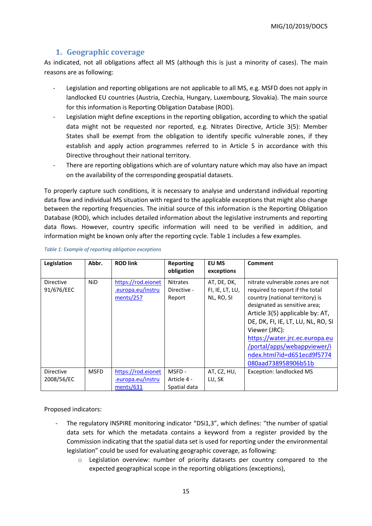#### **1. Geographic coverage**

<span id="page-14-0"></span>As indicated, not all obligations affect all MS (although this is just a minority of cases). The main reasons are as following:

- Legislation and reporting obligations are not applicable to all MS, e.g. MSFD does not apply in landlocked EU countries (Austria, Czechia, Hungary, Luxembourg, Slovakia). The main source for this information is Reporting Obligation Database (ROD).
- Legislation might define exceptions in the reporting obligation, according to which the spatial data might not be requested nor reported, e.g. Nitrates Directive, Article 3(5): Member States shall be exempt from the obligation to identify specific vulnerable zones, if they establish and apply action programmes referred to in Article 5 in accordance with this Directive throughout their national territory.
- There are reporting obligations which are of voluntary nature which may also have an impact on the availability of the corresponding geospatial datasets.

To properly capture such conditions, it is necessary to analyse and understand individual reporting data flow and individual MS situation with regard to the applicable exceptions that might also change between the reporting frequencies. The initial source of this information is the Reporting Obligation Database (ROD), which includes detailed information about the legislative instruments and reporting data flows. However, country specific information will need to be verified in addition, and information might be known only after the reporting cycle. [Table 1](#page-14-1) includes a few examples.

| Legislation             | Abbr.       | <b>ROD link</b>                                      | <b>Reporting</b><br>obligation           | EU MS<br>exceptions                          | Comment                                                                                                                                                                                                                                                                                                                                                 |
|-------------------------|-------------|------------------------------------------------------|------------------------------------------|----------------------------------------------|---------------------------------------------------------------------------------------------------------------------------------------------------------------------------------------------------------------------------------------------------------------------------------------------------------------------------------------------------------|
| Directive<br>91/676/EEC | <b>NiD</b>  | https://rod.eionet<br>.europa.eu/instru<br>ments/257 | <b>Nitrates</b><br>Directive -<br>Report | AT, DE, DK,<br>FI, IE, LT, LU,<br>NL, RO, SI | nitrate vulnerable zones are not<br>required to report if the total<br>country (national territory) is<br>designated as sensitive area;<br>Article 3(5) applicable by: AT,<br>DE, DK, FI, IE, LT, LU, NL, RO, SI<br>Viewer (JRC):<br>https://water.jrc.ec.europa.eu<br>/portal/apps/webappviewer/i<br>ndex.html?id=d651ecd9f5774<br>080aad738958906b51b |
| Directive<br>2008/56/EC | <b>MSFD</b> | https://rod.eionet<br>.europa.eu/instru<br>ments/631 | MSFD-<br>Article 4 -<br>Spatial data     | AT, CZ, HU,<br>LU, SK                        | <b>Exception: landlocked MS</b>                                                                                                                                                                                                                                                                                                                         |

#### <span id="page-14-1"></span>*Table 1: Example of reporting obligation exceptions*

Proposed indicators:

- The regulatory INSPIRE monitoring indicator "DSi1,3", which defines: "the number of spatial data sets for which the metadata contains a keyword from a register provided by the Commission indicating that the spatial data set is used for reporting under the environmental legislation" could be used for evaluating geographic coverage, as following:
	- o Legislation overview: number of priority datasets per country compared to the expected geographical scope in the reporting obligations (exceptions),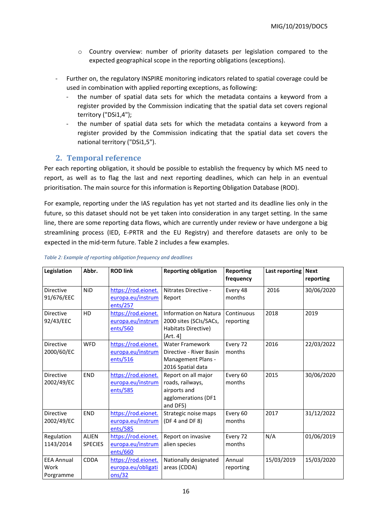- $\circ$  Country overview: number of priority datasets per legislation compared to the expected geographical scope in the reporting obligations (exceptions).
- Further on, the regulatory INSPIRE monitoring indicators related to spatial coverage could be used in combination with applied reporting exceptions, as following:
	- the number of spatial data sets for which the metadata contains a keyword from a register provided by the Commission indicating that the spatial data set covers regional territory ("DSi1,4");
	- the number of spatial data sets for which the metadata contains a keyword from a register provided by the Commission indicating that the spatial data set covers the national territory ("DSi1,5").

#### <span id="page-15-0"></span>**2. Temporal reference**

Per each reporting obligation, it should be possible to establish the frequency by which MS need to report, as well as to flag the last and next reporting deadlines, which can help in an eventual prioritisation. The main source for this information is Reporting Obligation Database (ROD).

For example, reporting under the IAS regulation has yet not started and its deadline lies only in the future, so this dataset should not be yet taken into consideration in any target setting. In the same line, there are some reporting data flows, which are currently under review or have undergone a big streamlining process (IED, E-PRTR and the EU Registry) and therefore datasets are only to be expected in the mid-term future[. Table 2](#page-15-1) includes a few examples.

| Legislation                            | Abbr.                          | <b>ROD link</b>                                      | <b>Reporting obligation</b>                                                                  | <b>Reporting</b><br>frequency | Last reporting | <b>Next</b><br>reporting |
|----------------------------------------|--------------------------------|------------------------------------------------------|----------------------------------------------------------------------------------------------|-------------------------------|----------------|--------------------------|
| <b>Directive</b><br>91/676/EEC         | <b>NiD</b>                     | https://rod.eionet.<br>europa.eu/instrum<br>ents/257 | Nitrates Directive -<br>Report                                                               | Every 48<br>months            | 2016           | 30/06/2020               |
| <b>Directive</b><br>92/43/EEC          | HD                             | https://rod.eionet.<br>europa.eu/instrum<br>ents/560 | Information on Natura<br>2000 sites (SCIs/SACs,<br>Habitats Directive)<br>[Art. 4]           | Continuous<br>reporting       | 2018           | 2019                     |
| <b>Directive</b><br>2000/60/EC         | <b>WFD</b>                     | https://rod.eionet.<br>europa.eu/instrum<br>ents/516 | <b>Water Framework</b><br>Directive - River Basin<br>Management Plans -<br>2016 Spatial data | Every 72<br>months            | 2016           | 22/03/2022               |
| <b>Directive</b><br>2002/49/EC         | <b>END</b>                     | https://rod.eionet.<br>europa.eu/instrum<br>ents/585 | Report on all major<br>roads, railways,<br>airports and<br>agglomerations (DF1<br>and DF5)   | Every 60<br>months            | 2015           | 30/06/2020               |
| <b>Directive</b><br>2002/49/EC         | <b>END</b>                     | https://rod.eionet.<br>europa.eu/instrum<br>ents/585 | Strategic noise maps<br>(DF 4 and DF 8)                                                      | Every 60<br>months            | 2017           | 31/12/2022               |
| Regulation<br>1143/2014                | <b>ALIEN</b><br><b>SPECIES</b> | https://rod.eionet.<br>europa.eu/instrum<br>ents/660 | Report on invasive<br>alien species                                                          | Every 72<br>months            | N/A            | 01/06/2019               |
| <b>EEA Annual</b><br>Work<br>Porgramme | <b>CDDA</b>                    | https://rod.eionet.<br>europa.eu/obligati<br>ons/32  | Nationally designated<br>areas (CDDA)                                                        | Annual<br>reporting           | 15/03/2019     | 15/03/2020               |

#### <span id="page-15-1"></span>*Table 2: Example of reporting obligation frequency and deadlines*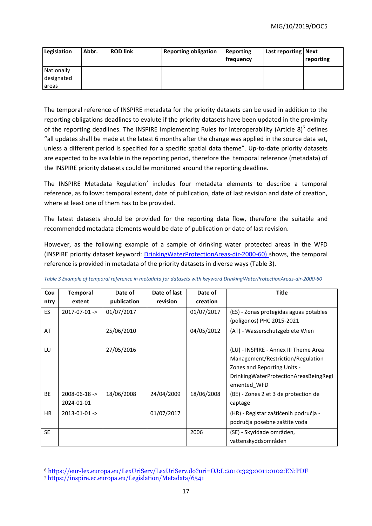| Legislation              | Abbr. | <b>ROD link</b> | <b>Reporting obligation</b> | Reporting<br>  frequency | Last reporting   Next | reporting |
|--------------------------|-------|-----------------|-----------------------------|--------------------------|-----------------------|-----------|
| Nationally<br>designated |       |                 |                             |                          |                       |           |
| areas                    |       |                 |                             |                          |                       |           |

The temporal reference of INSPIRE metadata for the priority datasets can be used in addition to the reporting obligations deadlines to evalute if the priority datasets have been updated in the proximity of the reporting deadlines. The INSPIRE Implementing Rules for interoperability (Article 8) $^6$  defines "all updates shall be made at the latest 6 months after the change was applied in the source data set, unless a different period is specified for a specific spatial data theme". Up-to-date priority datasets are expected to be available in the reporting period, therefore the temporal reference (metadata) of the INSPIRE priority datasets could be monitored around the reporting deadline.

The INSPIRE Metadata Regulation<sup>7</sup> includes four metadata elements to describe a temporal reference, as follows: temporal extent, date of publication, date of last revision and date of creation, where at least one of them has to be provided.

The latest datasets should be provided for the reporting data flow, therefore the suitable and recommended metadata elements would be date of publication or date of last revision.

However, as the following example of a sample of drinking water protected areas in the WFD (INSPIRE priority dataset keyword: [DrinkingWaterProtectionAreas-dir-2000-60\)](http://inspire.ec.europa.eu/metadata-codelist/PriorityDataset/DrinkingWaterProtectionAreas-dir-2000-60) shows, the temporal reference is provided in metadata of the priority datasets in diverse ways [\(Table 3\)](#page-16-0).

| Cou       | <b>Temporal</b>     | Date of     | Date of last | Date of    | <b>Title</b>                               |
|-----------|---------------------|-------------|--------------|------------|--------------------------------------------|
| ntry      | extent              | publication | revision     | creation   |                                            |
| <b>ES</b> | $2017 - 07 - 01$ -> | 01/07/2017  |              | 01/07/2017 | (ES) - Zonas protegidas aguas potables     |
|           |                     |             |              |            | (polígonos) PHC 2015-2021                  |
| AT        |                     | 25/06/2010  |              | 04/05/2012 | (AT) - Wasserschutzgebiete Wien            |
|           |                     |             |              |            |                                            |
| LU        |                     | 27/05/2016  |              |            | (LU) - INSPIRE - Annex III Theme Area      |
|           |                     |             |              |            | Management/Restriction/Regulation          |
|           |                     |             |              |            | Zones and Reporting Units -                |
|           |                     |             |              |            | Drinking Water Protection Areas Being Regl |
|           |                     |             |              |            | emented WFD                                |
| <b>BE</b> | $2008 - 06 - 18$ -> | 18/06/2008  | 24/04/2009   | 18/06/2008 | (BE) - Zones 2 et 3 de protection de       |
|           | 2024-01-01          |             |              |            | captage                                    |
| HR.       | $2013 - 01 - 01$ -> |             | 01/07/2017   |            | (HR) - Registar zaštićenih područja -      |
|           |                     |             |              |            | područja posebne zaštite voda              |
| <b>SE</b> |                     |             |              | 2006       | (SE) - Skyddade områden,                   |
|           |                     |             |              |            | vattenskyddsområden                        |

<span id="page-16-0"></span>

| Table 3 Example of temporal reference in metadata for datasets with keyword DrinkingWaterProtectionAreas-dir-2000-60 |  |  |
|----------------------------------------------------------------------------------------------------------------------|--|--|
|                                                                                                                      |  |  |

**.** 

<sup>6</sup> <https://eur-lex.europa.eu/LexUriServ/LexUriServ.do?uri=OJ:L:2010:323:0011:0102:EN:PDF>

<sup>7</sup> <https://inspire.ec.europa.eu/Legislation/Metadata/6541>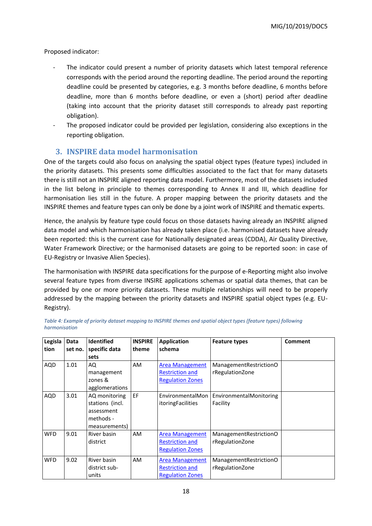Proposed indicator:

- The indicator could present a number of priority datasets which latest temporal reference corresponds with the period around the reporting deadline. The period around the reporting deadline could be presented by categories, e.g. 3 months before deadline, 6 months before deadline, more than 6 months before deadline, or even a (short) period after deadline (taking into account that the priority dataset still corresponds to already past reporting obligation).
- The proposed indicator could be provided per legislation, considering also exceptions in the reporting obligation.

#### **3. INSPIRE data model harmonisation**

<span id="page-17-0"></span>One of the targets could also focus on analysing the spatial object types (feature types) included in the priority datasets. This presents some difficulties associated to the fact that for many datasets there is still not an INSPIRE aligned reporting data model. Furthermore, most of the datasets included in the list belong in principle to themes corresponding to Annex II and III, which deadline for harmonisation lies still in the future. A proper mapping between the priority datasets and the INSPIRE themes and feature types can only be done by a joint work of INSPIRE and thematic experts.

Hence, the analysis by feature type could focus on those datasets having already an INSPIRE aligned data model and which harmonisation has already taken place (i.e. harmonised datasets have already been reported: this is the current case for Nationally designated areas (CDDA), Air Quality Directive, Water Framework Directive; or the harmonised datasets are going to be reported soon: in case of EU-Registry or Invasive Alien Species).

The harmonisation with INSPIRE data specifications for the purpose of e-Reporting might also involve several feature types from diverse INSIRE applications schemas or spatial data themes, that can be provided by one or more priority datasets. These multiple relationships will need to be properly addressed by the mapping between the priority datasets and INSPIRE spatial object types (e.g. EU-Registry).

| Legisla    | Data    | <b>Identified</b> | <b>INSPIRE</b> | <b>Application</b>       | <b>Feature types</b>     | <b>Comment</b> |
|------------|---------|-------------------|----------------|--------------------------|--------------------------|----------------|
| tion       | set no. | specific data     | theme          | schema                   |                          |                |
|            |         | sets              |                |                          |                          |                |
| <b>AQD</b> | 1.01    | AQ                | <b>AM</b>      | <b>Area Management</b>   | Management Restriction O |                |
|            |         | management        |                | <b>Restriction and</b>   | rRegulationZone          |                |
|            |         | zones &           |                | <b>Regulation Zones</b>  |                          |                |
|            |         | agglomerations    |                |                          |                          |                |
| AQD        | 3.01    | AQ monitoring     | EF             | EnvironmentalMon         | EnvironmentalMonitoring  |                |
|            |         | stations (incl.   |                | <i>itoringFacilities</i> | Facility                 |                |
|            |         | assessment        |                |                          |                          |                |
|            |         | methods -         |                |                          |                          |                |
|            |         | measurements)     |                |                          |                          |                |
| <b>WFD</b> | 9.01    | River basin       | <b>AM</b>      | <b>Area Management</b>   | Management Restriction O |                |
|            |         | district          |                | <b>Restriction and</b>   | rRegulationZone          |                |
|            |         |                   |                | <b>Regulation Zones</b>  |                          |                |
| <b>WFD</b> | 9.02    | River basin       | AM.            | <b>Area Management</b>   | Management Restriction O |                |
|            |         | district sub-     |                | <b>Restriction and</b>   | rRegulationZone          |                |
|            |         | units             |                | <b>Regulation Zones</b>  |                          |                |

*Table 4: Example of priority dataset mapping to INSPIRE themes and spatial object types (feature types) following harmonisation*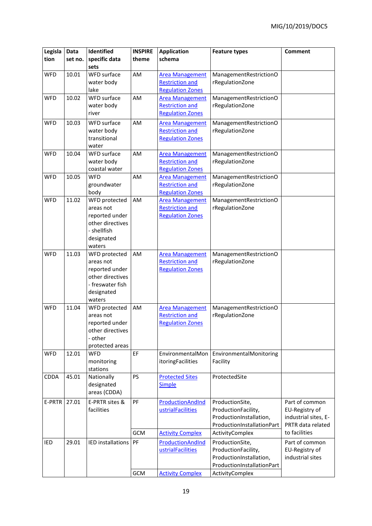| Legisla     | <b>Data</b> | Identified                 | <b>INSPIRE</b><br>theme | <b>Application</b><br>schema                     | <b>Feature types</b>                      | <b>Comment</b>       |
|-------------|-------------|----------------------------|-------------------------|--------------------------------------------------|-------------------------------------------|----------------------|
| tion        | set no.     | specific data<br>sets      |                         |                                                  |                                           |                      |
| <b>WFD</b>  | 10.01       | WFD surface                | AM                      | <b>Area Management</b>                           | ManagementRestrictionO                    |                      |
|             |             | water body                 |                         | <b>Restriction and</b>                           | rRegulationZone                           |                      |
|             |             | lake                       |                         | <b>Regulation Zones</b>                          |                                           |                      |
| <b>WFD</b>  | 10.02       | WFD surface                | AM                      | <b>Area Management</b>                           | ManagementRestrictionO                    |                      |
|             |             | water body                 |                         | <b>Restriction and</b>                           | rRegulationZone                           |                      |
|             |             | river                      |                         | <b>Regulation Zones</b>                          |                                           |                      |
| <b>WFD</b>  | 10.03       | WFD surface                | AM                      | <b>Area Management</b>                           | ManagementRestrictionO                    |                      |
|             |             | water body                 |                         | <b>Restriction and</b>                           | rRegulationZone                           |                      |
|             |             | transitional               |                         | <b>Regulation Zones</b>                          |                                           |                      |
|             |             | water                      |                         |                                                  |                                           |                      |
| <b>WFD</b>  | 10.04       | WFD surface                | AM                      | <b>Area Management</b>                           | ManagementRestrictionO                    |                      |
|             |             | water body                 |                         | <b>Restriction and</b>                           | rRegulationZone                           |                      |
|             |             | coastal water              |                         | <b>Regulation Zones</b>                          |                                           |                      |
| <b>WFD</b>  | 10.05       | <b>WFD</b>                 | AM                      | <b>Area Management</b><br><b>Restriction and</b> | ManagementRestrictionO                    |                      |
|             |             | groundwater<br>body        |                         | <b>Regulation Zones</b>                          | rRegulationZone                           |                      |
| <b>WFD</b>  | 11.02       | WFD protected              | AM                      | <b>Area Management</b>                           | ManagementRestrictionO                    |                      |
|             |             | areas not                  |                         | <b>Restriction and</b>                           | rRegulationZone                           |                      |
|             |             | reported under             |                         | <b>Regulation Zones</b>                          |                                           |                      |
|             |             | other directives           |                         |                                                  |                                           |                      |
|             |             | - shellfish                |                         |                                                  |                                           |                      |
|             |             | designated                 |                         |                                                  |                                           |                      |
|             |             | waters                     |                         |                                                  |                                           |                      |
| <b>WFD</b>  | 11.03       | WFD protected              | AM                      | <b>Area Management</b>                           | ManagementRestrictionO                    |                      |
|             |             | areas not                  |                         | <b>Restriction and</b>                           | rRegulationZone                           |                      |
|             |             | reported under             |                         | <b>Regulation Zones</b>                          |                                           |                      |
|             |             | other directives           |                         |                                                  |                                           |                      |
|             |             | - freswater fish           |                         |                                                  |                                           |                      |
|             |             | designated                 |                         |                                                  |                                           |                      |
| <b>WFD</b>  | 11.04       | waters                     |                         |                                                  |                                           |                      |
|             |             | WFD protected<br>areas not | AM                      | <b>Area Management</b><br><b>Restriction and</b> | ManagementRestrictionO<br>rRegulationZone |                      |
|             |             | reported under             |                         | <b>Regulation Zones</b>                          |                                           |                      |
|             |             | other directives           |                         |                                                  |                                           |                      |
|             |             | - other                    |                         |                                                  |                                           |                      |
|             |             | protected areas            |                         |                                                  |                                           |                      |
| <b>WFD</b>  | 12.01       | <b>WFD</b>                 | EF                      | EnvironmentalMon                                 | EnvironmentalMonitoring                   |                      |
|             |             | monitoring                 |                         | itoringFacilities                                | Facility                                  |                      |
|             |             | stations                   |                         |                                                  |                                           |                      |
| <b>CDDA</b> | 45.01       | Nationally                 | PS                      | <b>Protected Sites</b>                           | ProtectedSite                             |                      |
|             |             | designated                 |                         | <b>Simple</b>                                    |                                           |                      |
|             |             | areas (CDDA)               |                         |                                                  |                                           |                      |
| E-PRTR      | 27.01       | E-PRTR sites &             | PF                      | ProductionAndInd                                 | ProductionSite,                           | Part of common       |
|             |             | facilities                 |                         | ustrialFacilities                                | ProductionFacility,                       | EU-Registry of       |
|             |             |                            |                         |                                                  | ProductionInstallation,                   | industrial sites, E- |
|             |             |                            |                         |                                                  | ProductionInstallationPart                | PRTR data related    |
|             |             |                            | <b>GCM</b>              | <b>Activity Complex</b>                          | ActivityComplex                           | to facilities        |
| IED         | 29.01       | <b>IED</b> installations   | PF                      | ProductionAndInd                                 | ProductionSite,                           | Part of common       |
|             |             |                            |                         | ustrialFacilities                                | ProductionFacility,                       | EU-Registry of       |
|             |             |                            |                         |                                                  | ProductionInstallation,                   | industrial sites     |
|             |             |                            |                         |                                                  | ProductionInstallationPart                |                      |
|             |             |                            | <b>GCM</b>              | <b>Activity Complex</b>                          | ActivityComplex                           |                      |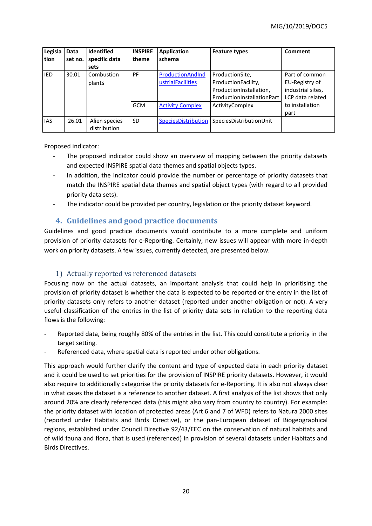| Legisla<br>tion | Data<br>set no. | <b>Identified</b><br>specific data | <b>INSPIRE</b><br>theme | <b>Application</b><br>schema | <b>Feature types</b>       | Comment           |
|-----------------|-----------------|------------------------------------|-------------------------|------------------------------|----------------------------|-------------------|
|                 |                 | sets                               |                         |                              |                            |                   |
| <b>IED</b>      | 30.01           | Combustion                         | PF                      | ProductionAndInd             | ProductionSite,            | Part of common    |
|                 |                 | plants                             |                         | ustrialFacilities            | ProductionFacility,        | EU-Registry of    |
|                 |                 |                                    |                         |                              | ProductionInstallation,    | industrial sites, |
|                 |                 |                                    |                         |                              | ProductionInstallationPart | LCP data related  |
|                 |                 |                                    | <b>GCM</b>              | <b>Activity Complex</b>      | ActivityComplex            | to installation   |
|                 |                 |                                    |                         |                              |                            | part              |
| <b>IAS</b>      | 26.01           | Alien species<br>distribution      | <b>SD</b>               | SpeciesDistribution          | SpeciesDistributionUnit    |                   |

Proposed indicator:

- The proposed indicator could show an overview of mapping between the priority datasets and expected INSPIRE spatial data themes and spatial objects types.
- In addition, the indicator could provide the number or percentage of priority datasets that match the INSPIRE spatial data themes and spatial object types (with regard to all provided priority data sets).
- <span id="page-19-0"></span>- The indicator could be provided per country, legislation or the priority dataset keyword.

### **4. Guidelines and good practice documents**

Guidelines and good practice documents would contribute to a more complete and uniform provision of priority datasets for e-Reporting. Certainly, new issues will appear with more in-depth work on priority datasets. A few issues, currently detected, are presented below.

### <span id="page-19-1"></span>1) Actually reported vs referenced datasets

Focusing now on the actual datasets, an important analysis that could help in prioritising the provision of priority dataset is whether the data is expected to be reported or the entry in the list of priority datasets only refers to another dataset (reported under another obligation or not). A very useful classification of the entries in the list of priority data sets in relation to the reporting data flows is the following:

- Reported data, being roughly 80% of the entries in the list. This could constitute a priority in the target setting.
- Referenced data, where spatial data is reported under other obligations.

This approach would further clarify the content and type of expected data in each priority dataset and it could be used to set priorities for the provision of INSPIRE priority datasets. However, it would also require to additionally categorise the priority datasets for e-Reporting. It is also not always clear in what cases the dataset is a reference to another dataset. A first analysis of the list shows that only around 20% are clearly referenced data (this might also vary from country to country). For example: the priority dataset with location of protected areas (Art 6 and 7 of WFD) refers to Natura 2000 sites (reported under Habitats and Birds Directive), or the pan-European dataset of Biogeographical regions, established under Council Directive 92/43/EEC on the conservation of natural habitats and of wild fauna and flora, that is used (referenced) in provision of several datasets under Habitats and Birds Directives.